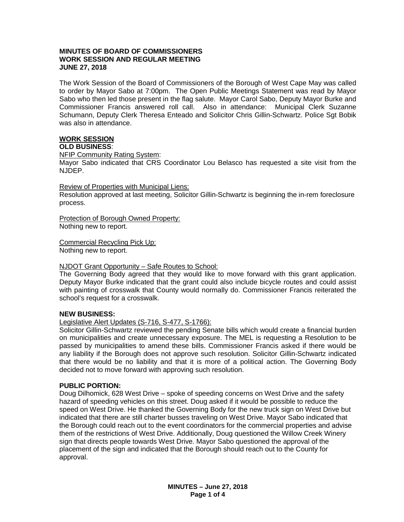### **MINUTES OF BOARD OF COMMISSIONERS WORK SESSION AND REGULAR MEETING JUNE 27, 2018**

The Work Session of the Board of Commissioners of the Borough of West Cape May was called to order by Mayor Sabo at 7:00pm. The Open Public Meetings Statement was read by Mayor Sabo who then led those present in the flag salute. Mayor Carol Sabo, Deputy Mayor Burke and Commissioner Francis answered roll call. Also in attendance: Municipal Clerk Suzanne Schumann, Deputy Clerk Theresa Enteado and Solicitor Chris Gillin-Schwartz. Police Sgt Bobik was also in attendance.

#### **WORK SESSION OLD BUSINESS**:

NFIP Community Rating System:

Mayor Sabo indicated that CRS Coordinator Lou Belasco has requested a site visit from the NJDEP.

Review of Properties with Municipal Liens:

Resolution approved at last meeting, Solicitor Gillin-Schwartz is beginning the in-rem foreclosure process.

Protection of Borough Owned Property: Nothing new to report.

Commercial Recycling Pick Up: Nothing new to report.

### NJDOT Grant Opportunity – Safe Routes to School:

The Governing Body agreed that they would like to move forward with this grant application. Deputy Mayor Burke indicated that the grant could also include bicycle routes and could assist with painting of crosswalk that County would normally do. Commissioner Francis reiterated the school's request for a crosswalk.

### **NEW BUSINESS:**

### Legislative Alert Updates (S-716, S-477, S-1766):

Solicitor Gillin-Schwartz reviewed the pending Senate bills which would create a financial burden on municipalities and create unnecessary exposure. The MEL is requesting a Resolution to be passed by municipalities to amend these bills. Commissioner Francis asked if there would be any liability if the Borough does not approve such resolution. Solicitor Gillin-Schwartz indicated that there would be no liability and that it is more of a political action. The Governing Body decided not to move forward with approving such resolution.

### **PUBLIC PORTION:**

Doug Dilhomick, 628 West Drive – spoke of speeding concerns on West Drive and the safety hazard of speeding vehicles on this street. Doug asked if it would be possible to reduce the speed on West Drive. He thanked the Governing Body for the new truck sign on West Drive but indicated that there are still charter busses traveling on West Drive. Mayor Sabo indicated that the Borough could reach out to the event coordinators for the commercial properties and advise them of the restrictions of West Drive. Additionally, Doug questioned the Willow Creek Winery sign that directs people towards West Drive. Mayor Sabo questioned the approval of the placement of the sign and indicated that the Borough should reach out to the County for approval.

> **MINUTES – June 27, 2018 Page 1 of 4**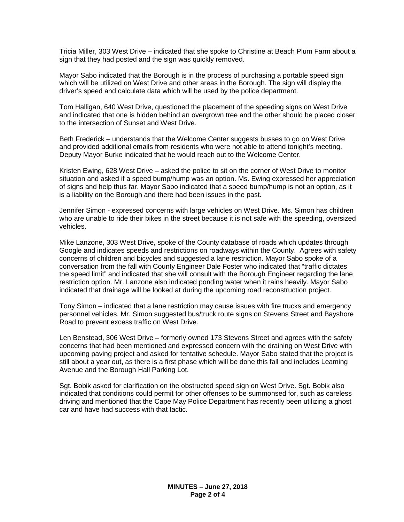Tricia Miller, 303 West Drive – indicated that she spoke to Christine at Beach Plum Farm about a sign that they had posted and the sign was quickly removed.

Mayor Sabo indicated that the Borough is in the process of purchasing a portable speed sign which will be utilized on West Drive and other areas in the Borough. The sign will display the driver's speed and calculate data which will be used by the police department.

Tom Halligan, 640 West Drive, questioned the placement of the speeding signs on West Drive and indicated that one is hidden behind an overgrown tree and the other should be placed closer to the intersection of Sunset and West Drive.

Beth Frederick – understands that the Welcome Center suggests busses to go on West Drive and provided additional emails from residents who were not able to attend tonight's meeting. Deputy Mayor Burke indicated that he would reach out to the Welcome Center.

Kristen Ewing, 628 West Drive – asked the police to sit on the corner of West Drive to monitor situation and asked if a speed bump/hump was an option. Ms. Ewing expressed her appreciation of signs and help thus far. Mayor Sabo indicated that a speed bump/hump is not an option, as it is a liability on the Borough and there had been issues in the past.

Jennifer Simon - expressed concerns with large vehicles on West Drive. Ms. Simon has children who are unable to ride their bikes in the street because it is not safe with the speeding, oversized vehicles.

Mike Lanzone, 303 West Drive, spoke of the County database of roads which updates through Google and indicates speeds and restrictions on roadways within the County. Agrees with safety concerns of children and bicycles and suggested a lane restriction. Mayor Sabo spoke of a conversation from the fall with County Engineer Dale Foster who indicated that "traffic dictates the speed limit" and indicated that she will consult with the Borough Engineer regarding the lane restriction option. Mr. Lanzone also indicated ponding water when it rains heavily. Mayor Sabo indicated that drainage will be looked at during the upcoming road reconstruction project.

Tony Simon – indicated that a lane restriction may cause issues with fire trucks and emergency personnel vehicles. Mr. Simon suggested bus/truck route signs on Stevens Street and Bayshore Road to prevent excess traffic on West Drive.

Len Benstead, 306 West Drive – formerly owned 173 Stevens Street and agrees with the safety concerns that had been mentioned and expressed concern with the draining on West Drive with upcoming paving project and asked for tentative schedule. Mayor Sabo stated that the project is still about a year out, as there is a first phase which will be done this fall and includes Leaming Avenue and the Borough Hall Parking Lot.

Sgt. Bobik asked for clarification on the obstructed speed sign on West Drive. Sgt. Bobik also indicated that conditions could permit for other offenses to be summonsed for, such as careless driving and mentioned that the Cape May Police Department has recently been utilizing a ghost car and have had success with that tactic.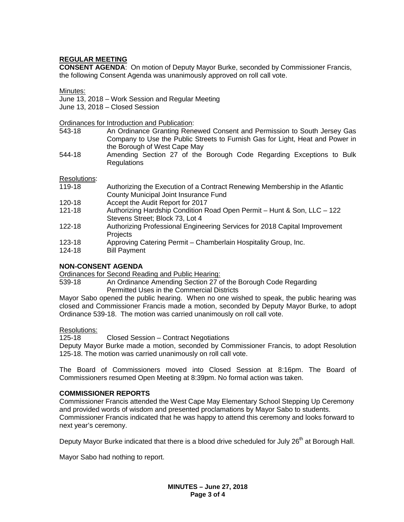# **REGULAR MEETING**

**CONSENT AGENDA**: On motion of Deputy Mayor Burke, seconded by Commissioner Francis, the following Consent Agenda was unanimously approved on roll call vote.

Minutes:

June 13, 2018 – Work Session and Regular Meeting

June 13, 2018 – Closed Session

**Ordinances for Introduction and Publication:**<br>543-18 **An Ordinance Granting Rene** 

- 543-18 An Ordinance Granting Renewed Consent and Permission to South Jersey Gas Company to Use the Public Streets to Furnish Gas for Light, Heat and Power in the Borough of West Cape May
- 544-18 Amending Section 27 of the Borough Code Regarding Exceptions to Bulk **Regulations**

Resolutions:

- 119-18 Authorizing the Execution of a Contract Renewing Membership in the Atlantic County Municipal Joint Insurance Fund
- 120-18 Accept the Audit Report for 2017
- 121-18 Authorizing Hardship Condition Road Open Permit Hunt & Son, LLC 122 Stevens Street; Block 73, Lot 4
- 122-18 Authorizing Professional Engineering Services for 2018 Capital Improvement **Projects**
- 123-18 Approving Catering Permit Chamberlain Hospitality Group, Inc.
- **Bill Payment**

### **NON-CONSENT AGENDA**

Ordinances for Second Reading and Public Hearing:

539-18 An Ordinance Amending Section 27 of the Borough Code Regarding Permitted Uses in the Commercial Districts

Mayor Sabo opened the public hearing. When no one wished to speak, the public hearing was closed and Commissioner Francis made a motion, seconded by Deputy Mayor Burke, to adopt Ordinance 539-18. The motion was carried unanimously on roll call vote.

### Resolutions:

125-18 Closed Session – Contract Negotiations

Deputy Mayor Burke made a motion, seconded by Commissioner Francis, to adopt Resolution 125-18. The motion was carried unanimously on roll call vote.

The Board of Commissioners moved into Closed Session at 8:16pm. The Board of Commissioners resumed Open Meeting at 8:39pm. No formal action was taken.

### **COMMISSIONER REPORTS**

Commissioner Francis attended the West Cape May Elementary School Stepping Up Ceremony and provided words of wisdom and presented proclamations by Mayor Sabo to students. Commissioner Francis indicated that he was happy to attend this ceremony and looks forward to next year's ceremony.

Deputy Mayor Burke indicated that there is a blood drive scheduled for July 26<sup>th</sup> at Borough Hall.

Mayor Sabo had nothing to report.